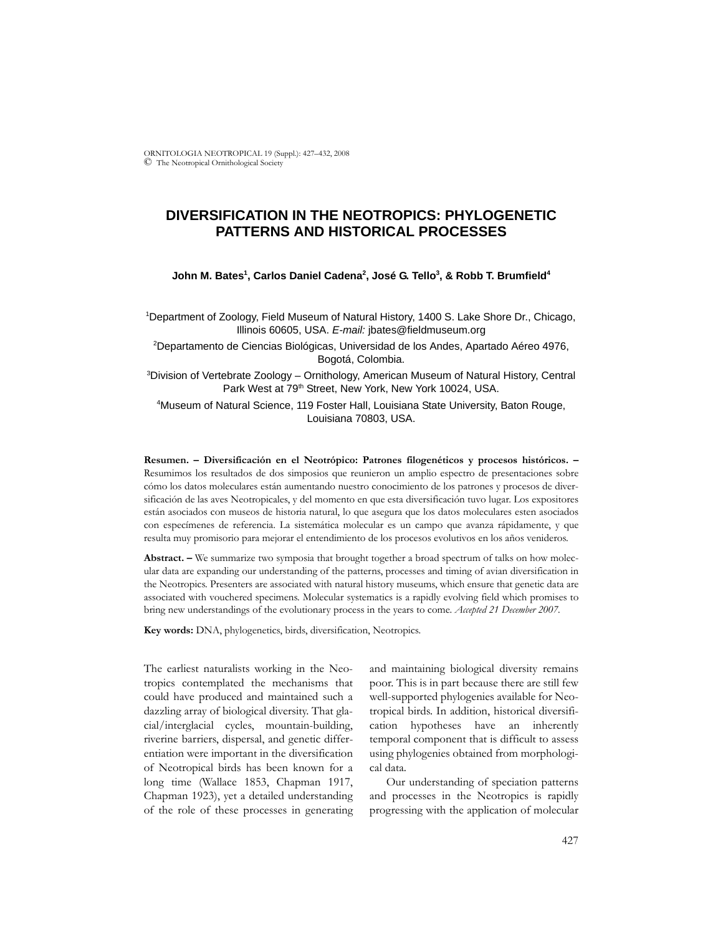ORNITOLOGIA NEOTROPICAL 19 (Suppl.): 427–432, 2008 © The Neotropical Ornithological Society

# **DIVERSIFICATION IN THE NEOTROPICS: PHYLOGENETIC PATTERNS AND HISTORICAL PROCESSES**

## **John M. Bates1 , Carlos Daniel Cadena2 , José G. Tello3 , & Robb T. Brumfield4**

1 Department of Zoology, Field Museum of Natural History, 1400 S. Lake Shore Dr., Chicago, Illinois 60605, USA. *E-mail:* jbates@fieldmuseum.org

2 Departamento de Ciencias Biológicas, Universidad de los Andes, Apartado Aéreo 4976, Bogotá, Colombia.

3 Division of Vertebrate Zoology – Ornithology, American Museum of Natural History, Central Park West at 79<sup>th</sup> Street, New York, New York 10024, USA.

4 Museum of Natural Science, 119 Foster Hall, Louisiana State University, Baton Rouge, Louisiana 70803, USA.

**Resumen. – Diversificación en el Neotrópico: Patrones filogenéticos y procesos históricos. –** Resumimos los resultados de dos simposios que reunieron un amplio espectro de presentaciones sobre cómo los datos moleculares están aumentando nuestro conocimiento de los patrones y procesos de diversificación de las aves Neotropicales, y del momento en que esta diversificación tuvo lugar. Los expositores están asociados con museos de historia natural, lo que asegura que los datos moleculares esten asociados con especímenes de referencia. La sistemática molecular es un campo que avanza rápidamente, y que resulta muy promisorio para mejorar el entendimiento de los procesos evolutivos en los años venideros.

**Abstract. –** We summarize two symposia that brought together a broad spectrum of talks on how molecular data are expanding our understanding of the patterns, processes and timing of avian diversification in the Neotropics. Presenters are associated with natural history museums, which ensure that genetic data are associated with vouchered specimens. Molecular systematics is a rapidly evolving field which promises to bring new understandings of the evolutionary process in the years to come. *Accepted 21 December 2007.*

**Key words:** DNA, phylogenetics, birds, diversification, Neotropics.

The earliest naturalists working in the Neotropics contemplated the mechanisms that could have produced and maintained such a dazzling array of biological diversity. That glacial/interglacial cycles, mountain-building, riverine barriers, dispersal, and genetic differentiation were important in the diversification of Neotropical birds has been known for a long time (Wallace 1853, Chapman 1917, Chapman 1923), yet a detailed understanding of the role of these processes in generating and maintaining biological diversity remains poor. This is in part because there are still few well-supported phylogenies available for Neotropical birds. In addition, historical diversification hypotheses have an inherently temporal component that is difficult to assess using phylogenies obtained from morphological data.

Our understanding of speciation patterns and processes in the Neotropics is rapidly progressing with the application of molecular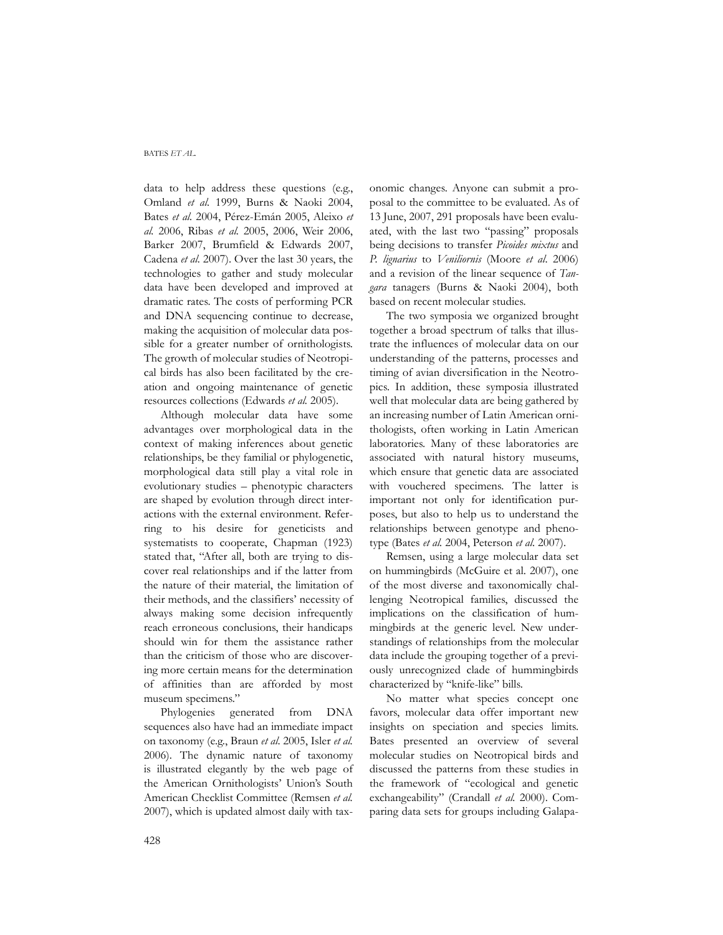#### BATES *ET AL.*

data to help address these questions (e.g., Omland *et al.* 1999, Burns & Naoki 2004, Bates *et al.* 2004, Pérez-Emán 2005, Aleixo *et al.* 2006, Ribas *et al.* 2005, 2006, Weir 2006, Barker 2007, Brumfield & Edwards 2007, Cadena *et al.* 2007). Over the last 30 years, the technologies to gather and study molecular data have been developed and improved at dramatic rates. The costs of performing PCR and DNA sequencing continue to decrease, making the acquisition of molecular data possible for a greater number of ornithologists. The growth of molecular studies of Neotropical birds has also been facilitated by the creation and ongoing maintenance of genetic resources collections (Edwards *et al.* 2005).

Although molecular data have some advantages over morphological data in the context of making inferences about genetic relationships, be they familial or phylogenetic, morphological data still play a vital role in evolutionary studies – phenotypic characters are shaped by evolution through direct interactions with the external environment. Referring to his desire for geneticists and systematists to cooperate, Chapman (1923) stated that, "After all, both are trying to discover real relationships and if the latter from the nature of their material, the limitation of their methods, and the classifiers' necessity of always making some decision infrequently reach erroneous conclusions, their handicaps should win for them the assistance rather than the criticism of those who are discovering more certain means for the determination of affinities than are afforded by most museum specimens."

Phylogenies generated from DNA sequences also have had an immediate impact on taxonomy (e.g., Braun *et al*. 2005, Isler *et al.* 2006). The dynamic nature of taxonomy is illustrated elegantly by the web page of the American Ornithologists' Union's South American Checklist Committee (Remsen *et al.* 2007), which is updated almost daily with taxonomic changes. Anyone can submit a proposal to the committee to be evaluated. As of 13 June, 2007, 291 proposals have been evaluated, with the last two "passing" proposals being decisions to transfer *Picoides mixtus* and *P. lignarius* to *Veniliornis* (Moore *et al*. 2006) and a revision of the linear sequence of *Tangara* tanagers (Burns & Naoki 2004), both based on recent molecular studies.

The two symposia we organized brought together a broad spectrum of talks that illustrate the influences of molecular data on our understanding of the patterns, processes and timing of avian diversification in the Neotropics. In addition, these symposia illustrated well that molecular data are being gathered by an increasing number of Latin American ornithologists, often working in Latin American laboratories. Many of these laboratories are associated with natural history museums, which ensure that genetic data are associated with vouchered specimens. The latter is important not only for identification purposes, but also to help us to understand the relationships between genotype and phenotype (Bates *et al.* 2004, Peterson *et al*. 2007).

Remsen, using a large molecular data set on hummingbirds (McGuire et al. 2007), one of the most diverse and taxonomically challenging Neotropical families, discussed the implications on the classification of hummingbirds at the generic level. New understandings of relationships from the molecular data include the grouping together of a previously unrecognized clade of hummingbirds characterized by "knife-like" bills.

No matter what species concept one favors, molecular data offer important new insights on speciation and species limits. Bates presented an overview of several molecular studies on Neotropical birds and discussed the patterns from these studies in the framework of "ecological and genetic exchangeability" (Crandall *et al.* 2000). Comparing data sets for groups including Galapa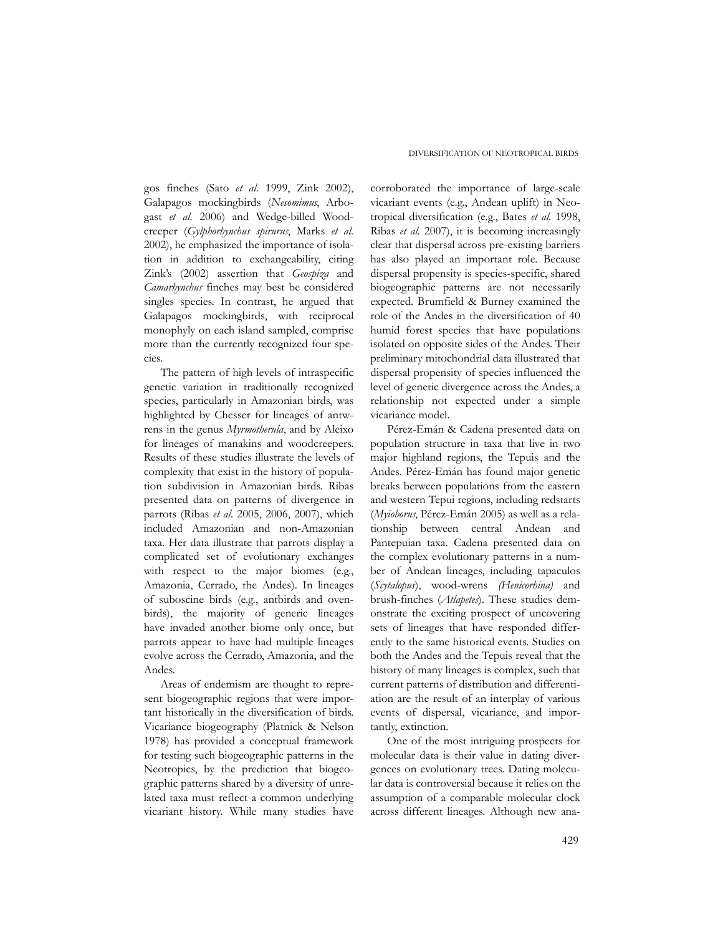gos finches (Sato *et al.* 1999, Zink 2002), Galapagos mockingbirds (*Nesomimus*, Arbogast *et al.* 2006) and Wedge-billed Woodcreeper (*Gylphorhynchus spirurus*, Marks *et al.* 2002), he emphasized the importance of isolation in addition to exchangeability, citing Zink's (2002) assertion that *Geospiza* and *Camarhynchus* finches may best be considered singles species. In contrast, he argued that Galapagos mockingbirds, with reciprocal monophyly on each island sampled, comprise more than the currently recognized four species.

The pattern of high levels of intraspecific genetic variation in traditionally recognized species, particularly in Amazonian birds, was highlighted by Chesser for lineages of antwrens in the genus *Myrmotherula*, and by Aleixo for lineages of manakins and woodcreepers. Results of these studies illustrate the levels of complexity that exist in the history of population subdivision in Amazonian birds. Ribas presented data on patterns of divergence in parrots (Ribas *et al*. 2005, 2006, 2007), which included Amazonian and non-Amazonian taxa. Her data illustrate that parrots display a complicated set of evolutionary exchanges with respect to the major biomes (e.g., Amazonia, Cerrado, the Andes). In lineages of suboscine birds (e.g., antbirds and ovenbirds), the majority of generic lineages have invaded another biome only once, but parrots appear to have had multiple lineages evolve across the Cerrado, Amazonia, and the Andes.

Areas of endemism are thought to represent biogeographic regions that were important historically in the diversification of birds. Vicariance biogeography (Platnick & Nelson 1978) has provided a conceptual framework for testing such biogeographic patterns in the Neotropics, by the prediction that biogeographic patterns shared by a diversity of unrelated taxa must reflect a common underlying vicariant history. While many studies have

corroborated the importance of large-scale vicariant events (e.g., Andean uplift) in Neotropical diversification (e.g., Bates *et al.* 1998, Ribas *et al.* 2007), it is becoming increasingly clear that dispersal across pre-existing barriers has also played an important role. Because dispersal propensity is species-specific, shared biogeographic patterns are not necessarily expected. Brumfield & Burney examined the role of the Andes in the diversification of 40 humid forest species that have populations isolated on opposite sides of the Andes. Their preliminary mitochondrial data illustrated that dispersal propensity of species influenced the level of genetic divergence across the Andes, a relationship not expected under a simple vicariance model.

Pérez-Emán & Cadena presented data on population structure in taxa that live in two major highland regions, the Tepuis and the Andes. Pérez-Emán has found major genetic breaks between populations from the eastern and western Tepui regions, including redstarts (*Myioborus*, Pérez-Emán 2005) as well as a relationship between central Andean and Pantepuian taxa. Cadena presented data on the complex evolutionary patterns in a number of Andean lineages, including tapaculos (*Scytalopus*), wood-wrens *(Henicorhina)* and brush-finches (*Atlapetes*). These studies demonstrate the exciting prospect of uncovering sets of lineages that have responded differently to the same historical events. Studies on both the Andes and the Tepuis reveal that the history of many lineages is complex, such that current patterns of distribution and differentiation are the result of an interplay of various events of dispersal, vicariance, and importantly, extinction.

One of the most intriguing prospects for molecular data is their value in dating divergences on evolutionary trees. Dating molecular data is controversial because it relies on the assumption of a comparable molecular clock across different lineages. Although new ana-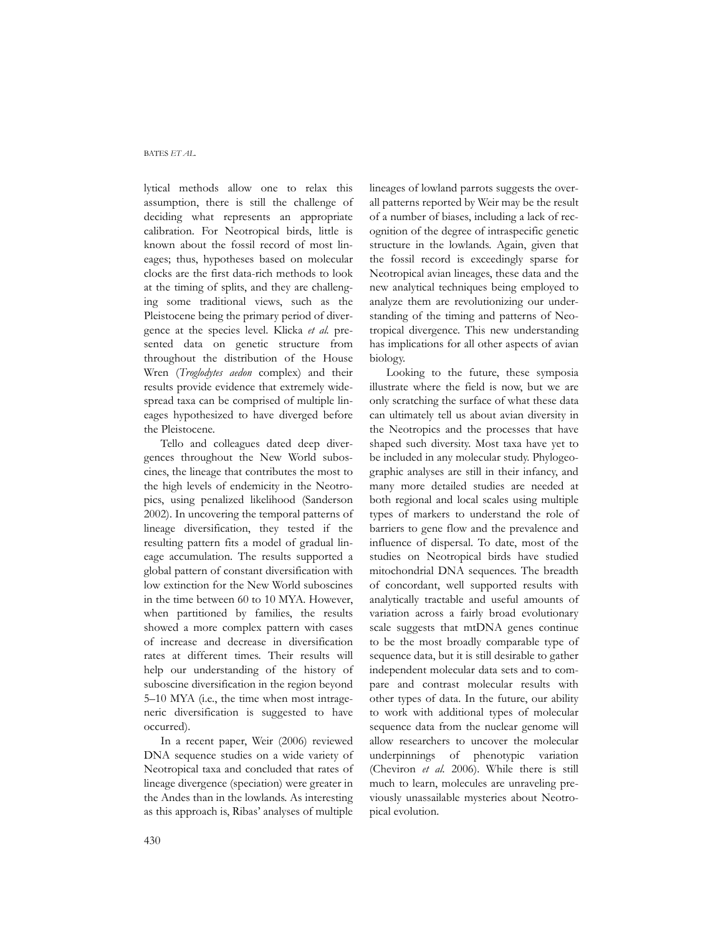#### BATES *ET AL.*

lytical methods allow one to relax this assumption, there is still the challenge of deciding what represents an appropriate calibration. For Neotropical birds, little is known about the fossil record of most lineages; thus, hypotheses based on molecular clocks are the first data-rich methods to look at the timing of splits, and they are challenging some traditional views, such as the Pleistocene being the primary period of divergence at the species level. Klicka *et al.* presented data on genetic structure from throughout the distribution of the House Wren (*Troglodytes aedon* complex) and their results provide evidence that extremely widespread taxa can be comprised of multiple lineages hypothesized to have diverged before the Pleistocene.

Tello and colleagues dated deep divergences throughout the New World suboscines, the lineage that contributes the most to the high levels of endemicity in the Neotropics, using penalized likelihood (Sanderson 2002). In uncovering the temporal patterns of lineage diversification, they tested if the resulting pattern fits a model of gradual lineage accumulation. The results supported a global pattern of constant diversification with low extinction for the New World suboscines in the time between 60 to 10 MYA. However, when partitioned by families, the results showed a more complex pattern with cases of increase and decrease in diversification rates at different times. Their results will help our understanding of the history of suboscine diversification in the region beyond 5–10 MYA (i.e., the time when most intrageneric diversification is suggested to have occurred).

In a recent paper, Weir (2006) reviewed DNA sequence studies on a wide variety of Neotropical taxa and concluded that rates of lineage divergence (speciation) were greater in the Andes than in the lowlands. As interesting as this approach is, Ribas' analyses of multiple

lineages of lowland parrots suggests the overall patterns reported by Weir may be the result of a number of biases, including a lack of recognition of the degree of intraspecific genetic structure in the lowlands. Again, given that the fossil record is exceedingly sparse for Neotropical avian lineages, these data and the new analytical techniques being employed to analyze them are revolutionizing our understanding of the timing and patterns of Neotropical divergence. This new understanding has implications for all other aspects of avian biology.

Looking to the future, these symposia illustrate where the field is now, but we are only scratching the surface of what these data can ultimately tell us about avian diversity in the Neotropics and the processes that have shaped such diversity. Most taxa have yet to be included in any molecular study. Phylogeographic analyses are still in their infancy, and many more detailed studies are needed at both regional and local scales using multiple types of markers to understand the role of barriers to gene flow and the prevalence and influence of dispersal. To date, most of the studies on Neotropical birds have studied mitochondrial DNA sequences. The breadth of concordant, well supported results with analytically tractable and useful amounts of variation across a fairly broad evolutionary scale suggests that mtDNA genes continue to be the most broadly comparable type of sequence data, but it is still desirable to gather independent molecular data sets and to compare and contrast molecular results with other types of data. In the future, our ability to work with additional types of molecular sequence data from the nuclear genome will allow researchers to uncover the molecular underpinnings of phenotypic variation (Cheviron *et al.* 2006). While there is still much to learn, molecules are unraveling previously unassailable mysteries about Neotropical evolution.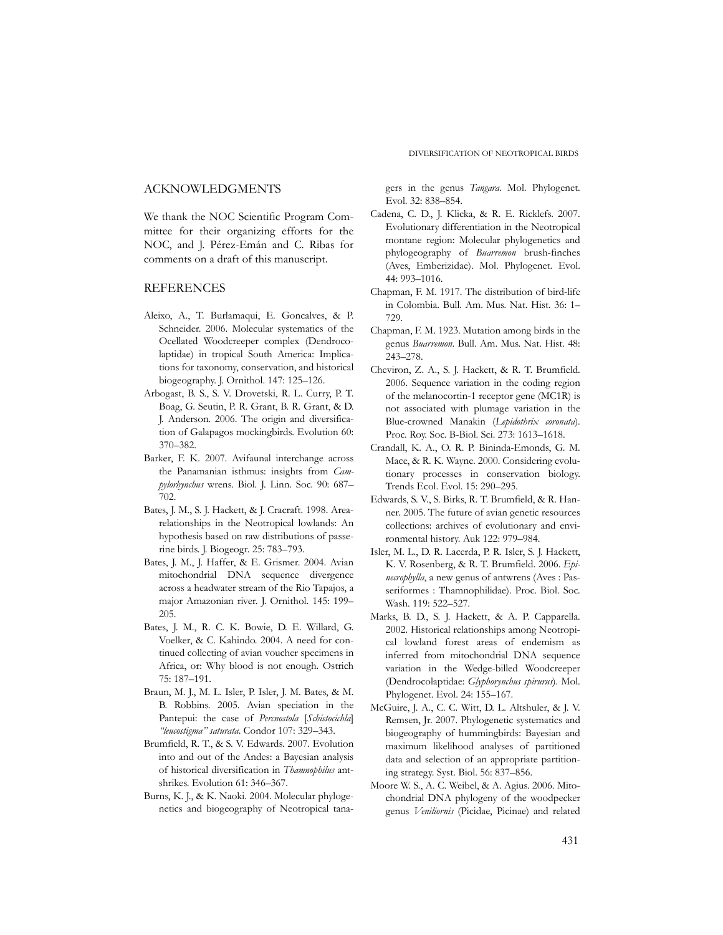# ACKNOWLEDGMENTS

We thank the NOC Scientific Program Committee for their organizing efforts for the NOC, and J. Pérez-Emán and C. Ribas for comments on a draft of this manuscript.

## REFERENCES

- Aleixo, A., T. Burlamaqui, E. Goncalves, & P. Schneider. 2006. Molecular systematics of the Ocellated Woodcreeper complex (Dendrocolaptidae) in tropical South America: Implications for taxonomy, conservation, and historical biogeography. J. Ornithol. 147: 125–126.
- Arbogast, B. S., S. V. Drovetski, R. L. Curry, P. T. Boag, G. Seutin, P. R. Grant, B. R. Grant, & D. J. Anderson. 2006. The origin and diversification of Galapagos mockingbirds. Evolution 60: 370–382.
- Barker, F. K. 2007. Avifaunal interchange across the Panamanian isthmus: insights from *Campylorhynchus* wrens. Biol. J. Linn. Soc. 90: 687– 702.
- Bates, J. M., S. J. Hackett, & J. Cracraft. 1998. Arearelationships in the Neotropical lowlands: An hypothesis based on raw distributions of passerine birds. J. Biogeogr. 25: 783–793.
- Bates, J. M., J. Haffer, & E. Grismer. 2004. Avian mitochondrial DNA sequence divergence across a headwater stream of the Rio Tapajos, a major Amazonian river. J. Ornithol. 145: 199– 205.
- Bates, J. M., R. C. K. Bowie, D. E. Willard, G. Voelker, & C. Kahindo. 2004. A need for continued collecting of avian voucher specimens in Africa, or: Why blood is not enough. Ostrich 75: 187–191.
- Braun, M. J., M. L. Isler, P. Isler, J. M. Bates, & M. B. Robbins. 2005. Avian speciation in the Pantepui: the case of *Percnostola* [*Schistocichla*] *"leucostigma" saturata*. Condor 107: 329–343.
- Brumfield, R. T., & S. V. Edwards. 2007. Evolution into and out of the Andes: a Bayesian analysis of historical diversification in *Thamnophilus* antshrikes. Evolution 61: 346–367.
- Burns, K. J., & K. Naoki. 2004. Molecular phylogenetics and biogeography of Neotropical tana-

gers in the genus *Tangara*. Mol. Phylogenet. Evol. 32: 838–854.

- Cadena, C. D., J. Klicka, & R. E. Ricklefs. 2007. Evolutionary differentiation in the Neotropical montane region: Molecular phylogenetics and phylogeography of *Buarremon* brush-finches (Aves, Emberizidae). Mol. Phylogenet. Evol. 44: 993–1016.
- Chapman, F. M. 1917. The distribution of bird-life in Colombia. Bull. Am. Mus. Nat. Hist. 36: 1– 729.
- Chapman, F. M. 1923. Mutation among birds in the genus *Buarremon*. Bull. Am. Mus. Nat. Hist. 48: 243–278.
- Cheviron, Z. A., S. J. Hackett, & R. T. Brumfield. 2006. Sequence variation in the coding region of the melanocortin-1 receptor gene (MC1R) is not associated with plumage variation in the Blue-crowned Manakin (*Lepidothrix coronata*). Proc. Roy. Soc. B-Biol. Sci. 273: 1613–1618.
- Crandall, K. A., O. R. P. Bininda-Emonds, G. M. Mace, & R. K. Wayne. 2000. Considering evolutionary processes in conservation biology. Trends Ecol. Evol. 15: 290–295.
- Edwards, S. V., S. Birks, R. T. Brumfield, & R. Hanner. 2005. The future of avian genetic resources collections: archives of evolutionary and environmental history. Auk 122: 979–984.
- Isler, M. L., D. R. Lacerda, P. R. Isler, S. J. Hackett, K. V. Rosenberg, & R. T. Brumfield. 2006. *Epinecrophylla*, a new genus of antwrens (Aves : Passeriformes : Thamnophilidae). Proc. Biol. Soc. Wash. 119: 522–527.
- Marks, B. D., S. J. Hackett, & A. P. Capparella. 2002. Historical relationships among Neotropical lowland forest areas of endemism as inferred from mitochondrial DNA sequence variation in the Wedge-billed Woodcreeper (Dendrocolaptidae: *Glyphorynchus spirurus*). Mol. Phylogenet. Evol. 24: 155–167.
- McGuire, J. A., C. C. Witt, D. L. Altshuler, & J. V. Remsen, Jr. 2007. Phylogenetic systematics and biogeography of hummingbirds: Bayesian and maximum likelihood analyses of partitioned data and selection of an appropriate partitioning strategy. Syst. Biol. 56: 837–856.
- Moore W. S., A. C. Weibel, & A. Agius. 2006. Mitochondrial DNA phylogeny of the woodpecker genus *Veniliornis* (Picidae, Picinae) and related